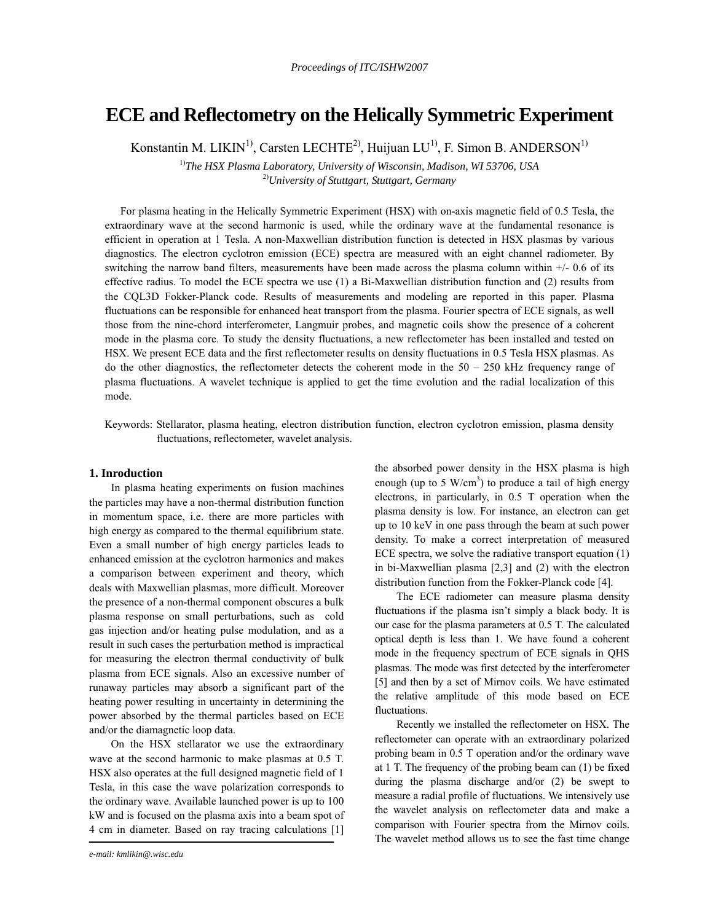# **ECE and Reflectometry on the Helically Symmetric Experiment**

Konstantin M. LIKIN<sup>1)</sup>, Carsten LECHTE<sup>2</sup>, Huijuan LU<sup>1)</sup>, F. Simon B. ANDERSON<sup>1)</sup>

<sup>1)</sup>The HSX Plasma Laboratory, University of Wisconsin, Madison, WI 53706, USA 2)*University of Stuttgart, Stuttgart, Germany* 

For plasma heating in the Helically Symmetric Experiment (HSX) with on-axis magnetic field of 0.5 Tesla, the extraordinary wave at the second harmonic is used, while the ordinary wave at the fundamental resonance is efficient in operation at 1 Tesla. A non-Maxwellian distribution function is detected in HSX plasmas by various diagnostics. The electron cyclotron emission (ECE) spectra are measured with an eight channel radiometer. By switching the narrow band filters, measurements have been made across the plasma column within +/- 0.6 of its effective radius. To model the ECE spectra we use (1) a Bi-Maxwellian distribution function and (2) results from the CQL3D Fokker-Planck code. Results of measurements and modeling are reported in this paper. Plasma fluctuations can be responsible for enhanced heat transport from the plasma. Fourier spectra of ECE signals, as well those from the nine-chord interferometer, Langmuir probes, and magnetic coils show the presence of a coherent mode in the plasma core. To study the density fluctuations, a new reflectometer has been installed and tested on HSX. We present ECE data and the first reflectometer results on density fluctuations in 0.5 Tesla HSX plasmas. As do the other diagnostics, the reflectometer detects the coherent mode in the  $50 - 250$  kHz frequency range of plasma fluctuations. A wavelet technique is applied to get the time evolution and the radial localization of this mode.

Keywords: Stellarator, plasma heating, electron distribution function, electron cyclotron emission, plasma density fluctuations, reflectometer, wavelet analysis.

## **1. Inroduction**

In plasma heating experiments on fusion machines the particles may have a non-thermal distribution function in momentum space, i.e. there are more particles with high energy as compared to the thermal equilibrium state. Even a small number of high energy particles leads to enhanced emission at the cyclotron harmonics and makes a comparison between experiment and theory, which deals with Maxwellian plasmas, more difficult. Moreover the presence of a non-thermal component obscures a bulk plasma response on small perturbations, such as cold gas injection and/or heating pulse modulation, and as a result in such cases the perturbation method is impractical for measuring the electron thermal conductivity of bulk plasma from ECE signals. Also an excessive number of runaway particles may absorb a significant part of the heating power resulting in uncertainty in determining the power absorbed by the thermal particles based on ECE and/or the diamagnetic loop data.

On the HSX stellarator we use the extraordinary wave at the second harmonic to make plasmas at 0.5 T. HSX also operates at the full designed magnetic field of 1 Tesla, in this case the wave polarization corresponds to the ordinary wave. Available launched power is up to 100 kW and is focused on the plasma axis into a beam spot of 4 cm in diameter. Based on ray tracing calculations [1]

the absorbed power density in the HSX plasma is high enough (up to 5  $W/cm<sup>3</sup>$ ) to produce a tail of high energy electrons, in particularly, in 0.5 T operation when the plasma density is low. For instance, an electron can get up to 10 keV in one pass through the beam at such power density. To make a correct interpretation of measured ECE spectra, we solve the radiative transport equation (1) in bi-Maxwellian plasma [2,3] and (2) with the electron distribution function from the Fokker-Planck code [4].

The ECE radiometer can measure plasma density fluctuations if the plasma isn't simply a black body. It is our case for the plasma parameters at 0.5 T. The calculated optical depth is less than 1. We have found a coherent mode in the frequency spectrum of ECE signals in QHS plasmas. The mode was first detected by the interferometer [5] and then by a set of Mirnov coils. We have estimated the relative amplitude of this mode based on ECE fluctuations.

Recently we installed the reflectometer on HSX. The reflectometer can operate with an extraordinary polarized probing beam in 0.5 T operation and/or the ordinary wave at 1 T. The frequency of the probing beam can (1) be fixed during the plasma discharge and/or (2) be swept to measure a radial profile of fluctuations. We intensively use the wavelet analysis on reflectometer data and make a comparison with Fourier spectra from the Mirnov coils. The wavelet method allows us to see the fast time change

*e-mail: kmlikin@.wisc.edu*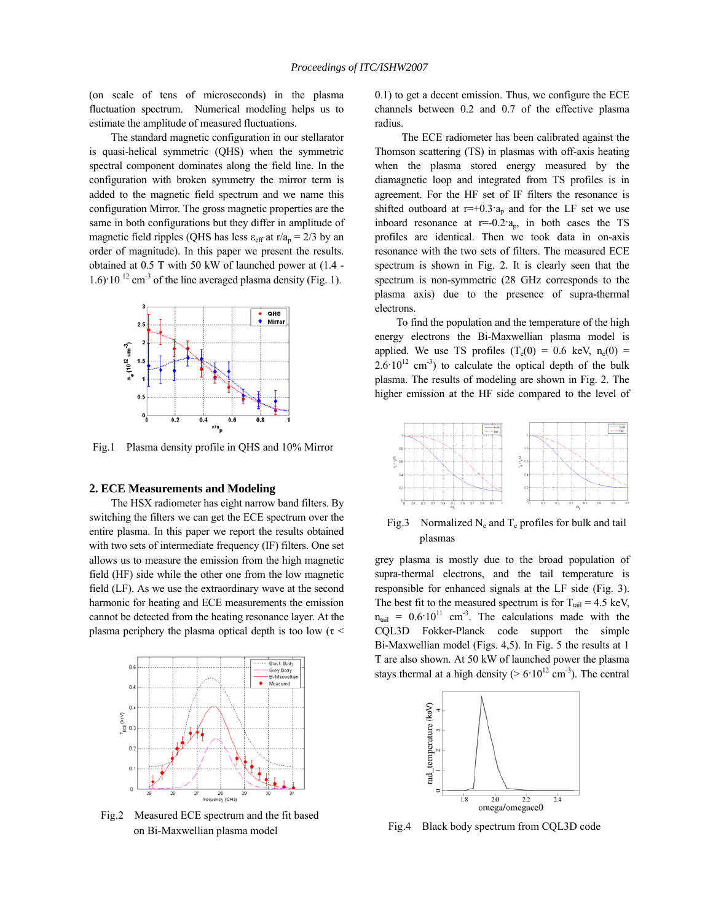(on scale of tens of microseconds) in the plasma fluctuation spectrum. Numerical modeling helps us to estimate the amplitude of measured fluctuations.

The standard magnetic configuration in our stellarator is quasi-helical symmetric (QHS) when the symmetric spectral component dominates along the field line. In the configuration with broken symmetry the mirror term is added to the magnetic field spectrum and we name this configuration Mirror. The gross magnetic properties are the same in both configurations but they differ in amplitude of magnetic field ripples (QHS has less  $\varepsilon_{\text{eff}}$  at r/a<sub>p</sub> = 2/3 by an order of magnitude). In this paper we present the results. obtained at 0.5 T with 50 kW of launched power at (1.4 -  $1.6$  $\cdot$  10<sup> $12$ </sup> cm<sup>-3</sup> of the line averaged plasma density (Fig. 1).



Fig.1 Plasma density profile in QHS and 10% Mirror

#### **2. ECE Measurements and Modeling**

The HSX radiometer has eight narrow band filters. By switching the filters we can get the ECE spectrum over the entire plasma. In this paper we report the results obtained with two sets of intermediate frequency (IF) filters. One set allows us to measure the emission from the high magnetic field (HF) side while the other one from the low magnetic field (LF). As we use the extraordinary wave at the second harmonic for heating and ECE measurements the emission cannot be detected from the heating resonance layer. At the plasma periphery the plasma optical depth is too low ( $\tau$  <



Fig.2 Measured ECE spectrum and the fit based on Bi-Maxwellian plasma model

0.1) to get a decent emission. Thus, we configure the ECE channels between 0.2 and 0.7 of the effective plasma radius.

 The ECE radiometer has been calibrated against the Thomson scattering (TS) in plasmas with off-axis heating when the plasma stored energy measured by the diamagnetic loop and integrated from TS profiles is in agreement. For the HF set of IF filters the resonance is shifted outboard at  $r=+0.3a_p$  and for the LF set we use inboard resonance at  $r=-0.2a_p$ , in both cases the TS profiles are identical. Then we took data in on-axis resonance with the two sets of filters. The measured ECE spectrum is shown in Fig. 2. It is clearly seen that the spectrum is non-symmetric (28 GHz corresponds to the plasma axis) due to the presence of supra-thermal electrons.

To find the population and the temperature of the high energy electrons the Bi-Maxwellian plasma model is applied. We use TS profiles  $(T_e(0) = 0.6 \text{ keV}, n_e(0) =$  $2.6 \cdot 10^{12}$  cm<sup>-3</sup>) to calculate the optical depth of the bulk plasma. The results of modeling are shown in Fig. 2. The higher emission at the HF side compared to the level of



Fig.3 Normalized  $N_e$  and  $T_e$  profiles for bulk and tail plasmas

grey plasma is mostly due to the broad population of supra-thermal electrons, and the tail temperature is responsible for enhanced signals at the LF side (Fig. 3). The best fit to the measured spectrum is for  $T_{tail} = 4.5$  keV,  $n<sub>tail</sub> = 0.6 \cdot 10<sup>11</sup>$  cm<sup>-3</sup>. The calculations made with the CQL3D Fokker-Planck code support the simple Bi-Maxwellian model (Figs. 4,5). In Fig. 5 the results at 1 T are also shown. At 50 kW of launched power the plasma stays thermal at a high density ( $> 6.10^{12}$  cm<sup>-3</sup>). The central



Fig.4 Black body spectrum from CQL3D code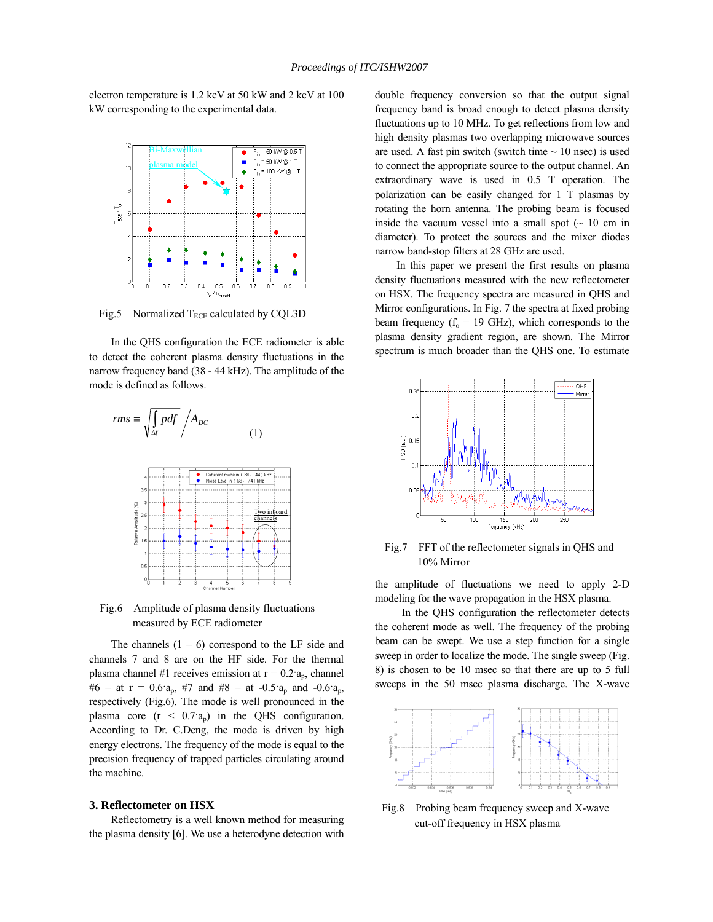electron temperature is 1.2 keV at 50 kW and 2 keV at 100 kW corresponding to the experimental data.



Fig.5 Normalized  $T_{ECE}$  calculated by CQL3D

In the QHS configuration the ECE radiometer is able to detect the coherent plasma density fluctuations in the narrow frequency band (38 - 44 kHz). The amplitude of the mode is defined as follows.



Fig.6 Amplitude of plasma density fluctuations measured by ECE radiometer

The channels  $(1 - 6)$  correspond to the LF side and channels 7 and 8 are on the HF side. For the thermal plasma channel #1 receives emission at  $r = 0.2 a_p$ , channel #6 – at r =  $0.6a_p$ , #7 and #8 – at -0.5 $a_p$  and -0.6 $a_p$ , respectively (Fig.6). The mode is well pronounced in the plasma core  $(r < 0.7 a_n)$  in the QHS configuration. According to Dr. C.Deng, the mode is driven by high energy electrons. The frequency of the mode is equal to the precision frequency of trapped particles circulating around the machine.

#### **3. Reflectometer on HSX**

Reflectometry is a well known method for measuring the plasma density [6]. We use a heterodyne detection with double frequency conversion so that the output signal frequency band is broad enough to detect plasma density fluctuations up to 10 MHz. To get reflections from low and high density plasmas two overlapping microwave sources are used. A fast pin switch (switch time  $\sim 10$  nsec) is used to connect the appropriate source to the output channel. An extraordinary wave is used in 0.5 T operation. The polarization can be easily changed for 1 T plasmas by rotating the horn antenna. The probing beam is focused inside the vacuum vessel into a small spot  $($   $\sim$  10 cm in diameter). To protect the sources and the mixer diodes narrow band-stop filters at 28 GHz are used.

In this paper we present the first results on plasma density fluctuations measured with the new reflectometer on HSX. The frequency spectra are measured in QHS and Mirror configurations. In Fig. 7 the spectra at fixed probing beam frequency ( $f_0 = 19$  GHz), which corresponds to the plasma density gradient region, are shown. The Mirror spectrum is much broader than the QHS one. To estimate



Fig.7 FFT of the reflectometer signals in QHS and 10% Mirror

the amplitude of fluctuations we need to apply 2-D modeling for the wave propagation in the HSX plasma.

 In the QHS configuration the reflectometer detects the coherent mode as well. The frequency of the probing beam can be swept. We use a step function for a single sweep in order to localize the mode. The single sweep (Fig. 8) is chosen to be 10 msec so that there are up to 5 full sweeps in the 50 msec plasma discharge. The X-wave



Fig.8 Probing beam frequency sweep and X-wave cut-off frequency in HSX plasma